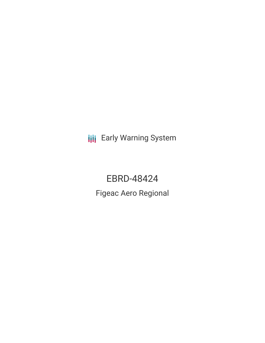**III** Early Warning System

EBRD-48424 Figeac Aero Regional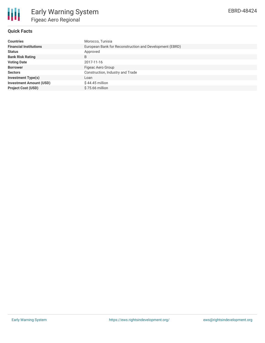

## **Quick Facts**

| <b>Countries</b>               | Morocco, Tunisia                                        |  |  |  |
|--------------------------------|---------------------------------------------------------|--|--|--|
| <b>Financial Institutions</b>  | European Bank for Reconstruction and Development (EBRD) |  |  |  |
| <b>Status</b>                  | Approved                                                |  |  |  |
| <b>Bank Risk Rating</b>        | B                                                       |  |  |  |
| <b>Voting Date</b>             | 2017-11-16                                              |  |  |  |
| <b>Borrower</b>                | Figeac Aero Group                                       |  |  |  |
| <b>Sectors</b>                 | Construction, Industry and Trade                        |  |  |  |
| <b>Investment Type(s)</b>      | Loan                                                    |  |  |  |
| <b>Investment Amount (USD)</b> | $$44.45$ million                                        |  |  |  |
| <b>Project Cost (USD)</b>      | $$75.66$ million                                        |  |  |  |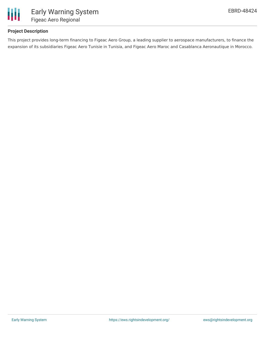

## **Project Description**

This project provides long-term financing to Figeac Aero Group, a leading supplier to aerospace manufacturers, to finance the expansion of its subsidiaries Figeac Aero Tunisie in Tunisia, and Figeac Aero Maroc and Casablanca Aeronautique in Morocco.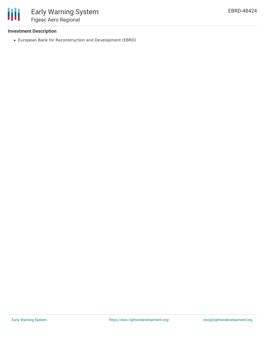

#### **Investment Description**

European Bank for Reconstruction and Development (EBRD)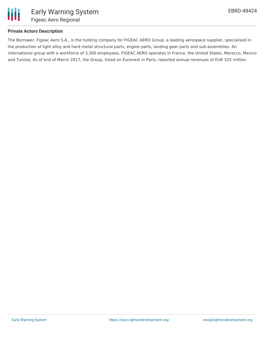

## **Private Actors Description**

The Borrower, Figeac Aero S.A., is the holding company for FIGEAC AERO Group, a leading aerospace supplier, specialised in the production of light alloy and hard metal structural parts, engine parts, landing gear parts and sub-assemblies. An international group with a workforce of 3,300 employees, FIGEAC AERO operates in France, the United States, Morocco, Mexico and Tunisia. As of end of March 2017, the Group, listed on Euronext in Paris, reported annual revenues of EUR 325 million.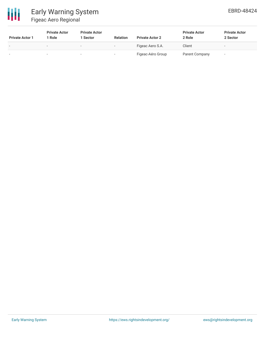

# Early Warning System Figeac Aero Regional

| <b>Private Actor 1</b> | <b>Private Actor</b><br>1 Role | <b>Private Actor</b><br>l Sector | <b>Relation</b> | <b>Private Actor 2</b> | <b>Private Actor</b><br>2 Role | <b>Private Actor</b><br>2 Sector |
|------------------------|--------------------------------|----------------------------------|-----------------|------------------------|--------------------------------|----------------------------------|
|                        | $\sim$                         | $\sim$                           |                 | Figeac Aero S.A.       | Client                         |                                  |
|                        |                                |                                  |                 | Figeac-Aéro Group      | Parent Company                 | -                                |